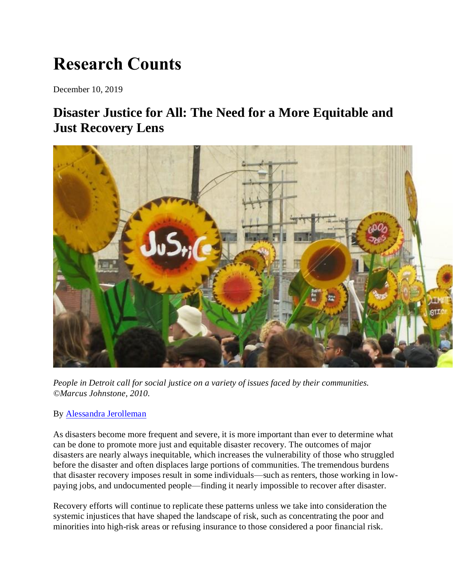# **Research Counts**

December 10, 2019

## **Disaster Justice for All: The Need for a More Equitable and Just Recovery Lens**



*People in Detroit call for social justice on a variety of issues faced by their communities. ©Marcus Johnstone, 2010.*

#### By [Alessandra Jerolleman](https://hazards.colorado.edu/biography/Alessandra-Jerolleman)

As disasters become more frequent and severe, it is more important than ever to determine what can be done to promote more just and equitable disaster recovery. The outcomes of major disasters are nearly always inequitable, which increases the vulnerability of those who struggled before the disaster and often displaces large portions of communities. The tremendous burdens that disaster recovery imposes result in some individuals—such as renters, those working in lowpaying jobs, and undocumented people—finding it nearly impossible to recover after disaster.

Recovery efforts will continue to replicate these patterns unless we take into consideration the systemic injustices that have shaped the landscape of risk, such as concentrating the poor and minorities into high-risk areas or refusing insurance to those considered a poor financial risk.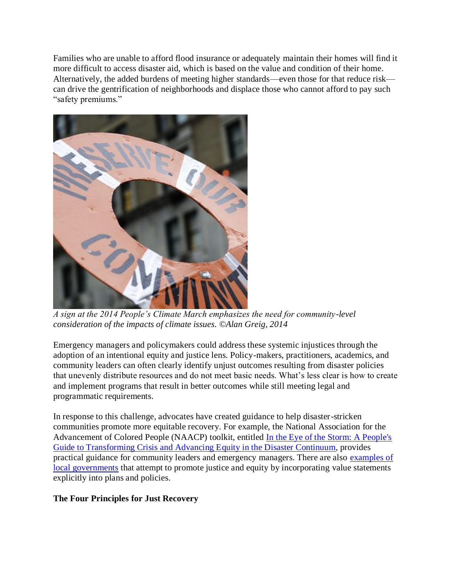Families who are unable to afford flood insurance or adequately maintain their homes will find it more difficult to access disaster aid, which is based on the value and condition of their home. Alternatively, the added burdens of meeting higher standards—even those for that reduce risk can drive the gentrification of neighborhoods and displace those who cannot afford to pay such "safety premiums."



*A sign at the 2014 People's Climate March emphasizes the need for community-level consideration of the impacts of climate issues. ©Alan Greig, 2014*

Emergency managers and policymakers could address these systemic injustices through the adoption of an intentional equity and justice lens. Policy-makers, practitioners, academics, and community leaders can often clearly identify unjust outcomes resulting from disaster policies that unevenly distribute resources and do not meet basic needs. What's less clear is how to create and implement programs that result in better outcomes while still meeting legal and programmatic requirements.

In response to this challenge, advocates have created guidance to help disaster-stricken communities promote more equitable recovery. For example, the National Association for the Advancement of Colored People (NAACP) toolkit, entitled [In the Eye of the Storm: A People's](https://www.naacp.org/latest/naacp-releases-toolkit-eye-storm-peoples-guide-transforming-crisis-advancing-equity-disaster-continuum/)  [Guide to Transforming Crisis and Advancing Equity in the Disaster Continuum,](https://www.naacp.org/latest/naacp-releases-toolkit-eye-storm-peoples-guide-transforming-crisis-advancing-equity-disaster-continuum/) provides practical guidance for community leaders and emergency managers. There are also [examples of](https://www.seattle.gov/rsji)  [local governments](https://www.seattle.gov/rsji) that attempt to promote justice and equity by incorporating value statements explicitly into plans and policies.

#### **The Four Principles for Just Recovery**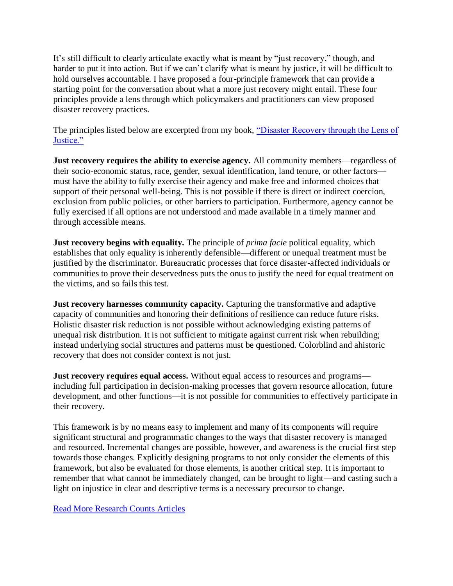It's still difficult to clearly articulate exactly what is meant by "just recovery," though, and harder to put it into action. But if we can't clarify what is meant by justice, it will be difficult to hold ourselves accountable. I have proposed a four-principle framework that can provide a starting point for the conversation about what a more just recovery might entail. These four principles provide a lens through which policymakers and practitioners can view proposed disaster recovery practices.

The principles listed below are excerpted from my book, "Disaster Recovery through the Lens of [Justice."](http://dx.doi.org/10.1007/978-3-030-04795-5)

**Just recovery requires the ability to exercise agency.** All community members—regardless of their socio-economic status, race, gender, sexual identification, land tenure, or other factors must have the ability to fully exercise their agency and make free and informed choices that support of their personal well-being. This is not possible if there is direct or indirect coercion, exclusion from public policies, or other barriers to participation. Furthermore, agency cannot be fully exercised if all options are not understood and made available in a timely manner and through accessible means.

**Just recovery begins with equality.** The principle of *prima facie* political equality, which establishes that only equality is inherently defensible—different or unequal treatment must be justified by the discriminator. Bureaucratic processes that force disaster-affected individuals or communities to prove their deservedness puts the onus to justify the need for equal treatment on the victims, and so fails this test.

**Just recovery harnesses community capacity.** Capturing the transformative and adaptive capacity of communities and honoring their definitions of resilience can reduce future risks. Holistic disaster risk reduction is not possible without acknowledging existing patterns of unequal risk distribution. It is not sufficient to mitigate against current risk when rebuilding; instead underlying social structures and patterns must be questioned. Colorblind and ahistoric recovery that does not consider context is not just.

**Just recovery requires equal access.** Without equal access to resources and programs including full participation in decision-making processes that govern resource allocation, future development, and other functions—it is not possible for communities to effectively participate in their recovery.

This framework is by no means easy to implement and many of its components will require significant structural and programmatic changes to the ways that disaster recovery is managed and resourced. Incremental changes are possible, however, and awareness is the crucial first step towards those changes. Explicitly designing programs to not only consider the elements of this framework, but also be evaluated for those elements, is another critical step. It is important to remember that what cannot be immediately changed, can be brought to light—and casting such a light on injustice in clear and descriptive terms is a necessary precursor to change.

[Read More Research Counts Articles](https://hazards.colorado.edu/news/research-counts#disaster-justice-for-all-the-need-for-a-more-equitable-and-just-recovery-lens)